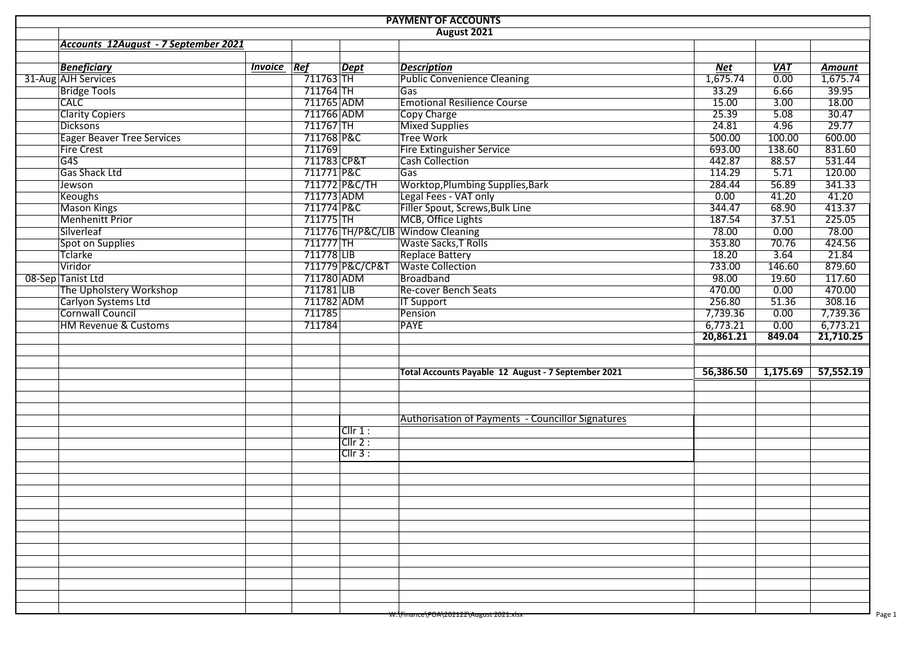| <b>PAYMENT OF ACCOUNTS</b> |                                      |                    |              |                 |                                                          |           |            |           |  |  |  |  |  |
|----------------------------|--------------------------------------|--------------------|--------------|-----------------|----------------------------------------------------------|-----------|------------|-----------|--|--|--|--|--|
| <b>August 2021</b>         |                                      |                    |              |                 |                                                          |           |            |           |  |  |  |  |  |
|                            | Accounts 12August - 7 September 2021 |                    |              |                 |                                                          |           |            |           |  |  |  |  |  |
|                            |                                      |                    |              |                 |                                                          |           |            |           |  |  |  |  |  |
|                            | <b>Beneficiary</b>                   | <b>Invoice Ref</b> |              | Dept            | <b>Description</b>                                       | Net       | <b>VAT</b> | Amount    |  |  |  |  |  |
|                            | 31-Aug AJH Services                  |                    | 711763       |                 | <b>Public Convenience Cleaning</b>                       | 1,675.74  | 0.00       | 1,675.74  |  |  |  |  |  |
|                            | <b>Bridge Tools</b>                  |                    | 711764 TH    |                 | Gas                                                      | 33.29     | 6.66       | 39.95     |  |  |  |  |  |
|                            | <b>CALC</b>                          |                    | 711765 ADM   |                 | <b>Emotional Resilience Course</b>                       | 15.00     | 3.00       | 18.00     |  |  |  |  |  |
|                            | <b>Clarity Copiers</b>               |                    | 711766 ADM   |                 | Copy Charge                                              | 25.39     | 5.08       | 30.47     |  |  |  |  |  |
|                            | <b>Dicksons</b>                      |                    | 711767 TH    |                 | <b>Mixed Supplies</b>                                    | 24.81     | 4.96       | 29.77     |  |  |  |  |  |
|                            | <b>Eager Beaver Tree Services</b>    |                    | 711768 P&C   |                 | Tree Work                                                | 500.00    | 100.00     | 600.00    |  |  |  |  |  |
|                            | <b>Fire Crest</b>                    |                    | 711769       |                 | <b>Fire Extinguisher Service</b>                         | 693.00    | 138.60     | 831.60    |  |  |  |  |  |
|                            | G45                                  |                    | 711783 CP&T  |                 | <b>Cash Collection</b>                                   | 442.87    | 88.57      | 531.44    |  |  |  |  |  |
|                            | <b>Gas Shack Ltd</b>                 |                    | 711771 P&C   |                 | Gas                                                      | 114.29    | 5.71       | 120.00    |  |  |  |  |  |
|                            | Jewson                               |                    |              | 711772 P&C/TH   | <b>Worktop, Plumbing Supplies, Bark</b>                  | 284.44    | 56.89      | 341.33    |  |  |  |  |  |
|                            | Keoughs                              |                    | 711773 ADM   |                 | Legal Fees - VAT only                                    | 0.00      | 41.20      | 41.20     |  |  |  |  |  |
|                            | Mason Kings                          |                    | 711774 P&C   |                 | Filler Spout, Screws, Bulk Line                          | 344.47    | 68.90      | 413.37    |  |  |  |  |  |
|                            | <b>Menhenitt Prior</b>               |                    | 711775 TH    |                 | MCB, Office Lights                                       | 187.54    | 37.51      | 225.05    |  |  |  |  |  |
|                            | Silverleaf                           |                    |              |                 | 711776 TH/P&C/LIB Window Cleaning                        | 78.00     | 0.00       | 78.00     |  |  |  |  |  |
|                            | Spot on Supplies                     |                    | $711777$ TH  |                 | Waste Sacks, T Rolls                                     | 353.80    | 70.76      | 424.56    |  |  |  |  |  |
|                            | Tclarke                              |                    | 711778 LIB   |                 | <b>Replace Battery</b>                                   | 18.20     | 3.64       | 21.84     |  |  |  |  |  |
|                            | Viridor                              |                    |              | 711779 P&C/CP&T | <b>Waste Collection</b>                                  | 733.00    | 146.60     | 879.60    |  |  |  |  |  |
|                            | 08-Sep Tanist Ltd                    |                    | 711780 ADM   |                 | Broadband                                                | 98.00     | 19.60      | 117.60    |  |  |  |  |  |
|                            | The Upholstery Workshop              |                    | $711781$ LIB |                 | Re-cover Bench Seats                                     | 470.00    | 0.00       | 470.00    |  |  |  |  |  |
|                            | Carlyon Systems Ltd                  |                    | 711782 ADM   |                 | <b>IT Support</b>                                        | 256.80    | 51.36      | 308.16    |  |  |  |  |  |
|                            | Cornwall Council                     |                    | 711785       |                 | Pension                                                  | 7,739.36  | 0.00       | 7,739.36  |  |  |  |  |  |
|                            | <b>HM Revenue &amp; Customs</b>      |                    | 711784       |                 | <b>PAYE</b>                                              | 6,773.21  | 0.00       | 6,773.21  |  |  |  |  |  |
|                            |                                      |                    |              |                 |                                                          | 20,861.21 | 849.04     | 21,710.25 |  |  |  |  |  |
|                            |                                      |                    |              |                 |                                                          |           |            |           |  |  |  |  |  |
|                            |                                      |                    |              |                 |                                                          |           |            |           |  |  |  |  |  |
|                            |                                      |                    |              |                 | Total Accounts Payable 12 August - 7 September 2021      | 56,386.50 | 1,175.69   | 57,552.19 |  |  |  |  |  |
|                            |                                      |                    |              |                 |                                                          |           |            |           |  |  |  |  |  |
|                            |                                      |                    |              |                 |                                                          |           |            |           |  |  |  |  |  |
|                            |                                      |                    |              |                 |                                                          |           |            |           |  |  |  |  |  |
|                            |                                      |                    |              |                 | <b>Authorisation of Payments - Councillor Signatures</b> |           |            |           |  |  |  |  |  |
|                            |                                      |                    |              | Cllr 1:         |                                                          |           |            |           |  |  |  |  |  |
|                            |                                      |                    |              | Cllr 2:         |                                                          |           |            |           |  |  |  |  |  |
|                            |                                      |                    |              | ClIr 3:         |                                                          |           |            |           |  |  |  |  |  |
|                            |                                      |                    |              |                 |                                                          |           |            |           |  |  |  |  |  |
|                            |                                      |                    |              |                 |                                                          |           |            |           |  |  |  |  |  |
|                            |                                      |                    |              |                 |                                                          |           |            |           |  |  |  |  |  |
|                            |                                      |                    |              |                 |                                                          |           |            |           |  |  |  |  |  |
|                            |                                      |                    |              |                 |                                                          |           |            |           |  |  |  |  |  |
|                            |                                      |                    |              |                 |                                                          |           |            |           |  |  |  |  |  |
|                            |                                      |                    |              |                 |                                                          |           |            |           |  |  |  |  |  |
|                            |                                      |                    |              |                 |                                                          |           |            |           |  |  |  |  |  |
|                            |                                      |                    |              |                 |                                                          |           |            |           |  |  |  |  |  |
|                            |                                      |                    |              |                 |                                                          |           |            |           |  |  |  |  |  |
|                            |                                      |                    |              |                 |                                                          |           |            |           |  |  |  |  |  |
|                            |                                      |                    |              |                 |                                                          |           |            |           |  |  |  |  |  |
|                            |                                      |                    |              |                 |                                                          |           |            |           |  |  |  |  |  |
|                            |                                      |                    |              |                 |                                                          |           |            |           |  |  |  |  |  |